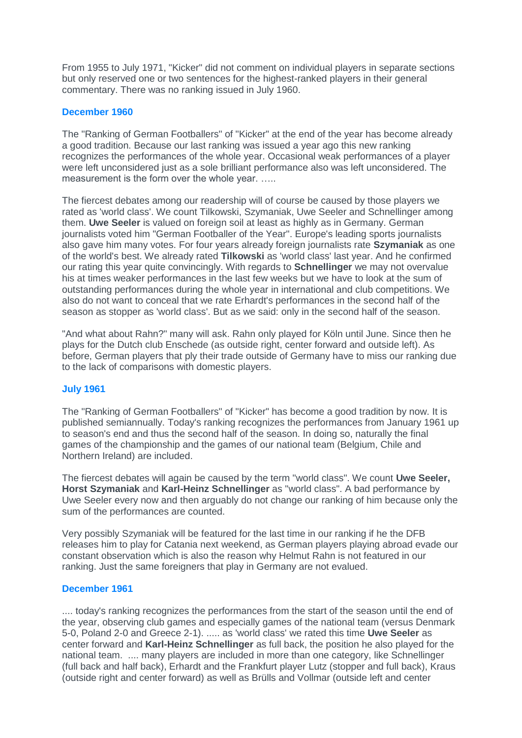From 1955 to July 1971, "Kicker" did not comment on individual players in separate sections but only reserved one or two sentences for the highest-ranked players in their general commentary. There was no ranking issued in July 1960.

## **December 1960**

The "Ranking of German Footballers" of "Kicker" at the end of the year has become already a good tradition. Because our last ranking was issued a year ago this new ranking recognizes the performances of the whole year. Occasional weak performances of a player were left unconsidered just as a sole brilliant performance also was left unconsidered. The measurement is the form over the whole year. .....

The fiercest debates among our readership will of course be caused by those players we rated as 'world class'. We count Tilkowski, Szymaniak, Uwe Seeler and Schnellinger among them. **Uwe Seeler** is valued on foreign soil at least as highly as in Germany. German journalists voted him "German Footballer of the Year". Europe's leading sports journalists also gave him many votes. For four years already foreign journalists rate **Szymaniak** as one of the world's best. We already rated **Tilkowski** as 'world class' last year. And he confirmed our rating this year quite convincingly. With regards to **Schnellinger** we may not overvalue his at times weaker performances in the last few weeks but we have to look at the sum of outstanding performances during the whole year in international and club competitions. We also do not want to conceal that we rate Erhardt's performances in the second half of the season as stopper as 'world class'. But as we said: only in the second half of the season.

"And what about Rahn?" many will ask. Rahn only played for Köln until June. Since then he plays for the Dutch club Enschede (as outside right, center forward and outside left). As before, German players that ply their trade outside of Germany have to miss our ranking due to the lack of comparisons with domestic players.

# **July 1961**

The "Ranking of German Footballers" of "Kicker" has become a good tradition by now. It is published semiannually. Today's ranking recognizes the performances from January 1961 up to season's end and thus the second half of the season. In doing so, naturally the final games of the championship and the games of our national team (Belgium, Chile and Northern Ireland) are included.

The fiercest debates will again be caused by the term "world class". We count **Uwe Seeler, Horst Szymaniak** and **Karl-Heinz Schnellinger** as "world class". A bad performance by Uwe Seeler every now and then arguably do not change our ranking of him because only the sum of the performances are counted.

Very possibly Szymaniak will be featured for the last time in our ranking if he the DFB releases him to play for Catania next weekend, as German players playing abroad evade our constant observation which is also the reason why Helmut Rahn is not featured in our ranking. Just the same foreigners that play in Germany are not evalued.

### **December 1961**

.... today's ranking recognizes the performances from the start of the season until the end of the year, observing club games and especially games of the national team (versus Denmark 5-0, Poland 2-0 and Greece 2-1). ..... as 'world class' we rated this time **Uwe Seeler** as center forward and **Karl-Heinz Schnellinger** as full back, the position he also played for the national team. .... many players are included in more than one category, like Schnellinger (full back and half back), Erhardt and the Frankfurt player Lutz (stopper and full back), Kraus (outside right and center forward) as well as Brülls and Vollmar (outside left and center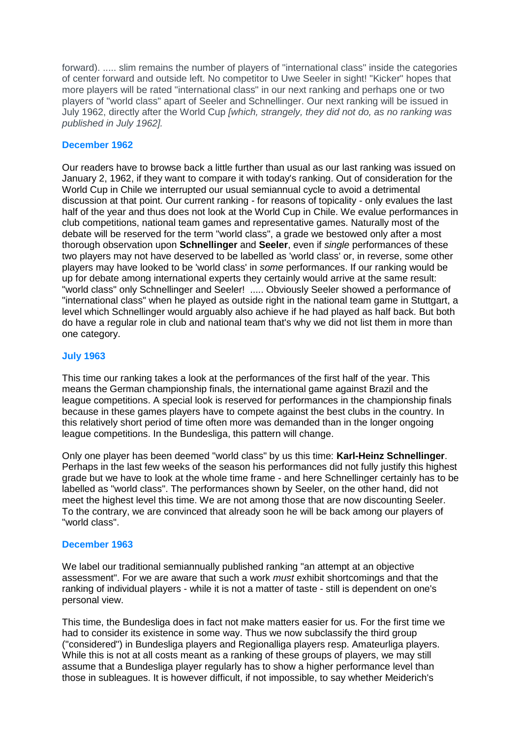forward). ..... slim remains the number of players of "international class" inside the categories of center forward and outside left. No competitor to Uwe Seeler in sight! "Kicker" hopes that more players will be rated "international class" in our next ranking and perhaps one or two players of "world class" apart of Seeler and Schnellinger. Our next ranking will be issued in July 1962, directly after the World Cup *[which, strangely, they did not do, as no ranking was published in July 1962].*

# **December 1962**

Our readers have to browse back a little further than usual as our last ranking was issued on January 2, 1962, if they want to compare it with today's ranking. Out of consideration for the World Cup in Chile we interrupted our usual semiannual cycle to avoid a detrimental discussion at that point. Our current ranking - for reasons of topicality - only evalues the last half of the year and thus does not look at the World Cup in Chile. We evalue performances in club competitions, national team games and representative games. Naturally most of the debate will be reserved for the term "world class", a grade we bestowed only after a most thorough observation upon **Schnellinger** and **Seeler**, even if *single* performances of these two players may not have deserved to be labelled as 'world class' or, in reverse, some other players may have looked to be 'world class' in *some* performances. If our ranking would be up for debate among international experts they certainly would arrive at the same result: "world class" only Schnellinger and Seeler! ..... Obviously Seeler showed a performance of "international class" when he played as outside right in the national team game in Stuttgart, a level which Schnellinger would arguably also achieve if he had played as half back. But both do have a regular role in club and national team that's why we did not list them in more than one category.

# **July 1963**

This time our ranking takes a look at the performances of the first half of the year. This means the German championship finals, the international game against Brazil and the league competitions. A special look is reserved for performances in the championship finals because in these games players have to compete against the best clubs in the country. In this relatively short period of time often more was demanded than in the longer ongoing league competitions. In the Bundesliga, this pattern will change.

Only one player has been deemed "world class" by us this time: **Karl-Heinz Schnellinger**. Perhaps in the last few weeks of the season his performances did not fully justify this highest grade but we have to look at the whole time frame - and here Schnellinger certainly has to be labelled as "world class". The performances shown by Seeler, on the other hand, did not meet the highest level this time. We are not among those that are now discounting Seeler. To the contrary, we are convinced that already soon he will be back among our players of "world class".

# **December 1963**

We label our traditional semiannually published ranking "an attempt at an objective assessment". For we are aware that such a work *must* exhibit shortcomings and that the ranking of individual players - while it is not a matter of taste - still is dependent on one's personal view.

This time, the Bundesliga does in fact not make matters easier for us. For the first time we had to consider its existence in some way. Thus we now subclassify the third group ("considered") in Bundesliga players and Regionalliga players resp. Amateurliga players. While this is not at all costs meant as a ranking of these groups of players, we may still assume that a Bundesliga player regularly has to show a higher performance level than those in subleagues. It is however difficult, if not impossible, to say whether Meiderich's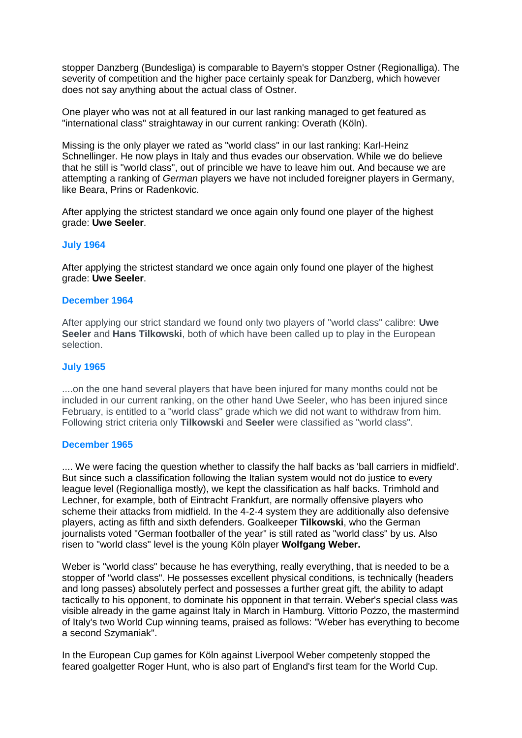stopper Danzberg (Bundesliga) is comparable to Bayern's stopper Ostner (Regionalliga). The severity of competition and the higher pace certainly speak for Danzberg, which however does not say anything about the actual class of Ostner.

One player who was not at all featured in our last ranking managed to get featured as "international class" straightaway in our current ranking: Overath (Köln).

Missing is the only player we rated as "world class" in our last ranking: Karl-Heinz Schnellinger. He now plays in Italy and thus evades our observation. While we do believe that he still is "world class", out of princible we have to leave him out. And because we are attempting a ranking of *German* players we have not included foreigner players in Germany, like Beara, Prins or Radenkovic.

After applying the strictest standard we once again only found one player of the highest grade: **Uwe Seeler**.

### **July 1964**

After applying the strictest standard we once again only found one player of the highest grade: **Uwe Seeler**.

#### **December 1964**

After applying our strict standard we found only two players of "world class" calibre: **Uwe Seeler** and **Hans Tilkowski**, both of which have been called up to play in the European selection.

#### **July 1965**

....on the one hand several players that have been injured for many months could not be included in our current ranking, on the other hand Uwe Seeler, who has been injured since February, is entitled to a "world class" grade which we did not want to withdraw from him. Following strict criteria only **Tilkowski** and **Seeler** were classified as "world class".

### **December 1965**

.... We were facing the question whether to classify the half backs as 'ball carriers in midfield'. But since such a classification following the Italian system would not do justice to every league level (Regionalliga mostly), we kept the classification as half backs. Trimhold and Lechner, for example, both of Eintracht Frankfurt, are normally offensive players who scheme their attacks from midfield. In the 4-2-4 system they are additionally also defensive players, acting as fifth and sixth defenders. Goalkeeper **Tilkowski**, who the German journalists voted "German footballer of the year" is still rated as "world class" by us. Also risen to "world class" level is the young Köln player **Wolfgang Weber.**

Weber is "world class" because he has everything, really everything, that is needed to be a stopper of "world class". He possesses excellent physical conditions, is technically (headers and long passes) absolutely perfect and possesses a further great gift, the ability to adapt tactically to his opponent, to dominate his opponent in that terrain. Weber's special class was visible already in the game against Italy in March in Hamburg. Vittorio Pozzo, the mastermind of Italy's two World Cup winning teams, praised as follows: "Weber has everything to become a second Szymaniak".

In the European Cup games for Köln against Liverpool Weber competenly stopped the feared goalgetter Roger Hunt, who is also part of England's first team for the World Cup.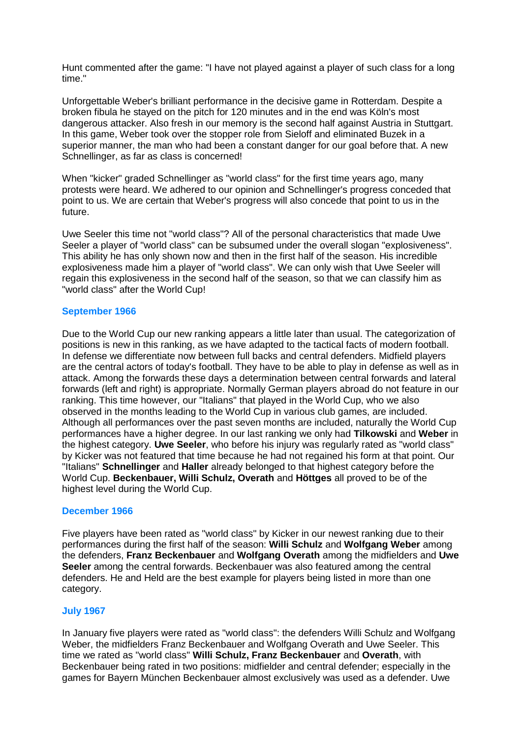Hunt commented after the game: "I have not played against a player of such class for a long time."

Unforgettable Weber's brilliant performance in the decisive game in Rotterdam. Despite a broken fibula he stayed on the pitch for 120 minutes and in the end was Köln's most dangerous attacker. Also fresh in our memory is the second half against Austria in Stuttgart. In this game, Weber took over the stopper role from Sieloff and eliminated Buzek in a superior manner, the man who had been a constant danger for our goal before that. A new Schnellinger, as far as class is concerned!

When "kicker" graded Schnellinger as "world class" for the first time years ago, many protests were heard. We adhered to our opinion and Schnellinger's progress conceded that point to us. We are certain that Weber's progress will also concede that point to us in the future.

Uwe Seeler this time not "world class"? All of the personal characteristics that made Uwe Seeler a player of "world class" can be subsumed under the overall slogan "explosiveness". This ability he has only shown now and then in the first half of the season. His incredible explosiveness made him a player of "world class". We can only wish that Uwe Seeler will regain this explosiveness in the second half of the season, so that we can classify him as "world class" after the World Cup!

## **September 1966**

Due to the World Cup our new ranking appears a little later than usual. The categorization of positions is new in this ranking, as we have adapted to the tactical facts of modern football. In defense we differentiate now between full backs and central defenders. Midfield players are the central actors of today's football. They have to be able to play in defense as well as in attack. Among the forwards these days a determination between central forwards and lateral forwards (left and right) is appropriate. Normally German players abroad do not feature in our ranking. This time however, our "Italians" that played in the World Cup, who we also observed in the months leading to the World Cup in various club games, are included. Although all performances over the past seven months are included, naturally the World Cup performances have a higher degree. In our last ranking we only had **Tilkowski** and **Weber** in the highest category. **Uwe Seeler**, who before his injury was regularly rated as "world class" by Kicker was not featured that time because he had not regained his form at that point. Our "Italians" **Schnellinger** and **Haller** already belonged to that highest category before the World Cup. **Beckenbauer, Willi Schulz, Overath** and **Höttges** all proved to be of the highest level during the World Cup.

### **December 1966**

Five players have been rated as "world class" by Kicker in our newest ranking due to their performances during the first half of the season: **Willi Schulz** and **Wolfgang Weber** among the defenders, **Franz Beckenbauer** and **Wolfgang Overath** among the midfielders and **Uwe Seeler** among the central forwards. Beckenbauer was also featured among the central defenders. He and Held are the best example for players being listed in more than one category.

### **July 1967**

In January five players were rated as "world class": the defenders Willi Schulz and Wolfgang Weber, the midfielders Franz Beckenbauer and Wolfgang Overath and Uwe Seeler. This time we rated as "world class" **Willi Schulz, Franz Beckenbauer** and **Overath**, with Beckenbauer being rated in two positions: midfielder and central defender; especially in the games for Bayern München Beckenbauer almost exclusively was used as a defender. Uwe